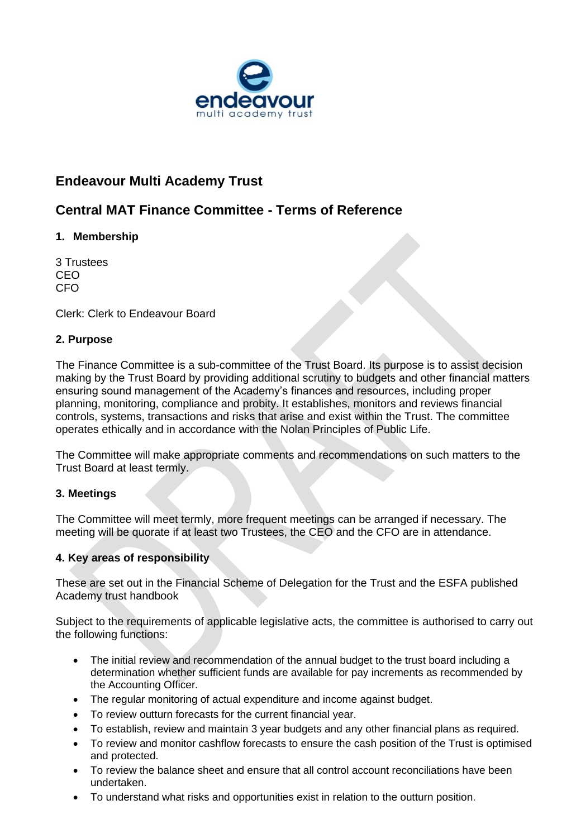

# **Endeavour Multi Academy Trust**

# **Central MAT Finance Committee - Terms of Reference**

# **1. Membership**

3 Trustees CEO CFO

Clerk: Clerk to Endeavour Board

#### **2. Purpose**

The Finance Committee is a sub-committee of the Trust Board. Its purpose is to assist decision making by the Trust Board by providing additional scrutiny to budgets and other financial matters ensuring sound management of the Academy's finances and resources, including proper planning, monitoring, compliance and probity. It establishes, monitors and reviews financial controls, systems, transactions and risks that arise and exist within the Trust. The committee operates ethically and in accordance with the Nolan Principles of Public Life.

The Committee will make appropriate comments and recommendations on such matters to the Trust Board at least termly.

## **3. Meetings**

The Committee will meet termly, more frequent meetings can be arranged if necessary. The meeting will be quorate if at least two Trustees, the CEO and the CFO are in attendance.

## **4. Key areas of responsibility**

These are set out in the Financial Scheme of Delegation for the Trust and the ESFA published Academy trust handbook

Subject to the requirements of applicable legislative acts, the committee is authorised to carry out the following functions:

- The initial review and recommendation of the annual budget to the trust board including a determination whether sufficient funds are available for pay increments as recommended by the Accounting Officer.
- The regular monitoring of actual expenditure and income against budget.
- To review outturn forecasts for the current financial year.
- To establish, review and maintain 3 year budgets and any other financial plans as required.
- To review and monitor cashflow forecasts to ensure the cash position of the Trust is optimised and protected.
- To review the balance sheet and ensure that all control account reconciliations have been undertaken.
- To understand what risks and opportunities exist in relation to the outturn position.